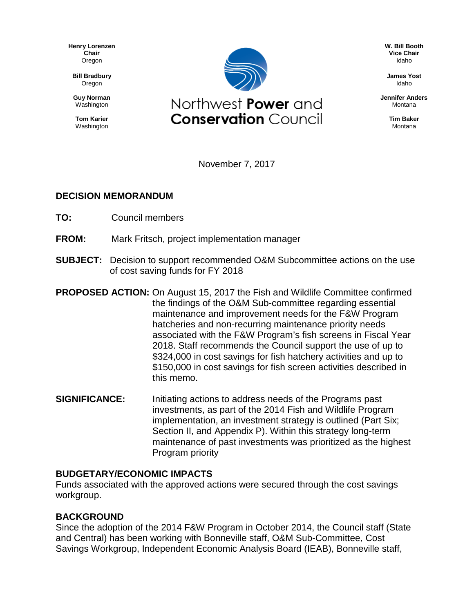**Henry Lorenzen Chair** Oregon

**Bill Bradbury** Oregon

**Guy Norman** Washington

**Tom Karier** Washington



**W. Bill Booth Vice Chair** Idaho

**James Yost** Idaho

**Jennifer Anders** Montana

> **Tim Baker** Montana

November 7, 2017

#### **DECISION MEMORANDUM**

- **TO:** Council members
- **FROM:** Mark Fritsch, project implementation manager
- **SUBJECT:** Decision to support recommended O&M Subcommittee actions on the use of cost saving funds for FY 2018
- **PROPOSED ACTION:** On August 15, 2017 the Fish and Wildlife Committee confirmed the findings of the O&M Sub-committee regarding essential maintenance and improvement needs for the F&W Program hatcheries and non-recurring maintenance priority needs associated with the F&W Program's fish screens in Fiscal Year 2018. Staff recommends the Council support the use of up to \$324,000 in cost savings for fish hatchery activities and up to \$150,000 in cost savings for fish screen activities described in this memo.
- **SIGNIFICANCE:** Initiating actions to address needs of the Programs past investments, as part of the 2014 Fish and Wildlife Program implementation, an investment strategy is outlined (Part Six; Section II, and Appendix P). Within this strategy long-term maintenance of past investments was prioritized as the highest Program priority

# **BUDGETARY/ECONOMIC IMPACTS**

Funds associated with the approved actions were secured through the cost savings workgroup.

# **BACKGROUND**

Since the adoption of the 2014 F&W Program in October 2014, the Council staff (State and Central) has been working with Bonneville staff, O&M Sub-Committee, Cost Savings Workgroup, Independent Economic Analysis Board (IEAB), Bonneville staff,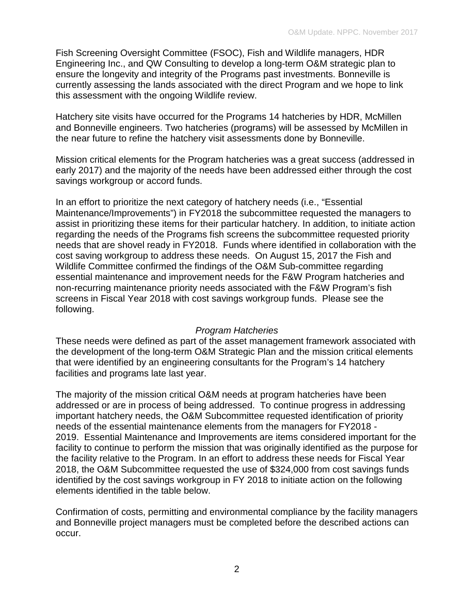Fish Screening Oversight Committee (FSOC), Fish and Wildlife managers, HDR Engineering Inc., and QW Consulting to develop a long-term O&M strategic plan to ensure the longevity and integrity of the Programs past investments. Bonneville is currently assessing the lands associated with the direct Program and we hope to link this assessment with the ongoing Wildlife review.

Hatchery site visits have occurred for the Programs 14 hatcheries by HDR, McMillen and Bonneville engineers. Two hatcheries (programs) will be assessed by McMillen in the near future to refine the hatchery visit assessments done by Bonneville.

Mission critical elements for the Program hatcheries was a great success (addressed in early 2017) and the majority of the needs have been addressed either through the cost savings workgroup or accord funds.

In an effort to prioritize the next category of hatchery needs (i.e., "Essential Maintenance/Improvements") in FY2018 the subcommittee requested the managers to assist in prioritizing these items for their particular hatchery. In addition, to initiate action regarding the needs of the Programs fish screens the subcommittee requested priority needs that are shovel ready in FY2018. Funds where identified in collaboration with the cost saving workgroup to address these needs. On August 15, 2017 the Fish and Wildlife Committee confirmed the findings of the O&M Sub-committee regarding essential maintenance and improvement needs for the F&W Program hatcheries and non-recurring maintenance priority needs associated with the F&W Program's fish screens in Fiscal Year 2018 with cost savings workgroup funds. Please see the following.

#### *Program Hatcheries*

These needs were defined as part of the asset management framework associated with the development of the long-term O&M Strategic Plan and the mission critical elements that were identified by an engineering consultants for the Program's 14 hatchery facilities and programs late last year.

The majority of the mission critical O&M needs at program hatcheries have been addressed or are in process of being addressed. To continue progress in addressing important hatchery needs, the O&M Subcommittee requested identification of priority needs of the essential maintenance elements from the managers for FY2018 - 2019. Essential Maintenance and Improvements are items considered important for the facility to continue to perform the mission that was originally identified as the purpose for the facility relative to the Program. In an effort to address these needs for Fiscal Year 2018, the O&M Subcommittee requested the use of \$324,000 from cost savings funds identified by the cost savings workgroup in FY 2018 to initiate action on the following elements identified in the table below.

Confirmation of costs, permitting and environmental compliance by the facility managers and Bonneville project managers must be completed before the described actions can occur.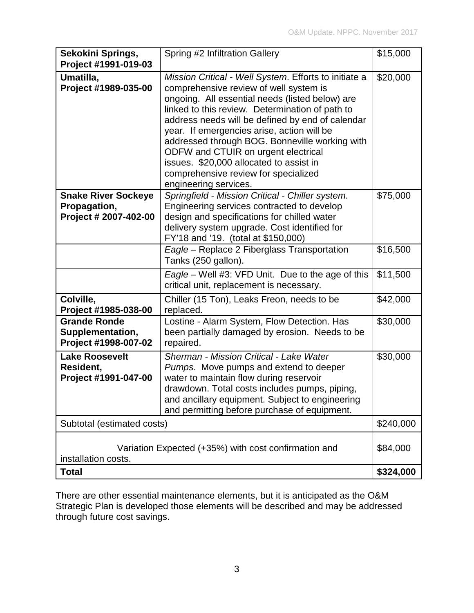| Sekokini Springs,<br>Project #1991-019-03                                   | Spring #2 Infiltration Gallery                                                                                                                                                                                                                                                                                                                                                                                                                                                                               | \$15,000  |
|-----------------------------------------------------------------------------|--------------------------------------------------------------------------------------------------------------------------------------------------------------------------------------------------------------------------------------------------------------------------------------------------------------------------------------------------------------------------------------------------------------------------------------------------------------------------------------------------------------|-----------|
| Umatilla,<br>Project #1989-035-00                                           | Mission Critical - Well System. Efforts to initiate a<br>comprehensive review of well system is<br>ongoing. All essential needs (listed below) are<br>linked to this review. Determination of path to<br>address needs will be defined by end of calendar<br>year. If emergencies arise, action will be<br>addressed through BOG. Bonneville working with<br>ODFW and CTUIR on urgent electrical<br>issues. \$20,000 allocated to assist in<br>comprehensive review for specialized<br>engineering services. | \$20,000  |
| <b>Snake River Sockeye</b><br>Propagation,<br>Project # 2007-402-00         | Springfield - Mission Critical - Chiller system.<br>Engineering services contracted to develop<br>design and specifications for chilled water<br>delivery system upgrade. Cost identified for<br>FY'18 and '19. (total at \$150,000)                                                                                                                                                                                                                                                                         | \$75,000  |
|                                                                             | Eagle - Replace 2 Fiberglass Transportation<br>Tanks (250 gallon).                                                                                                                                                                                                                                                                                                                                                                                                                                           | \$16,500  |
|                                                                             | Eagle - Well #3: VFD Unit. Due to the age of this<br>critical unit, replacement is necessary.                                                                                                                                                                                                                                                                                                                                                                                                                | \$11,500  |
| Colville,<br>Project #1985-038-00                                           | Chiller (15 Ton), Leaks Freon, needs to be<br>replaced.                                                                                                                                                                                                                                                                                                                                                                                                                                                      | \$42,000  |
| <b>Grande Ronde</b><br>Supplementation,<br>Project #1998-007-02             | Lostine - Alarm System, Flow Detection. Has<br>been partially damaged by erosion. Needs to be<br>repaired.                                                                                                                                                                                                                                                                                                                                                                                                   | \$30,000  |
| <b>Lake Roosevelt</b><br>Resident,<br>Project #1991-047-00                  | Sherman - Mission Critical - Lake Water<br>Pumps. Move pumps and extend to deeper<br>water to maintain flow during reservoir<br>drawdown. Total costs includes pumps, piping,<br>and ancillary equipment. Subject to engineering<br>and permitting before purchase of equipment.                                                                                                                                                                                                                             | \$30,000  |
| Subtotal (estimated costs)                                                  |                                                                                                                                                                                                                                                                                                                                                                                                                                                                                                              | \$240,000 |
| Variation Expected (+35%) with cost confirmation and<br>installation costs. |                                                                                                                                                                                                                                                                                                                                                                                                                                                                                                              | \$84,000  |
| <b>Total</b>                                                                |                                                                                                                                                                                                                                                                                                                                                                                                                                                                                                              | \$324,000 |

There are other essential maintenance elements, but it is anticipated as the O&M Strategic Plan is developed those elements will be described and may be addressed through future cost savings.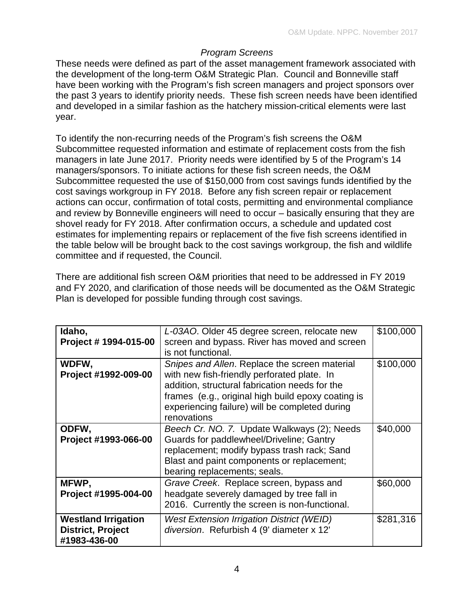### *Program Screens*

These needs were defined as part of the asset management framework associated with the development of the long-term O&M Strategic Plan. Council and Bonneville staff have been working with the Program's fish screen managers and project sponsors over the past 3 years to identify priority needs. These fish screen needs have been identified and developed in a similar fashion as the hatchery mission-critical elements were last year.

To identify the non-recurring needs of the Program's fish screens the O&M Subcommittee requested information and estimate of replacement costs from the fish managers in late June 2017. Priority needs were identified by 5 of the Program's 14 managers/sponsors. To initiate actions for these fish screen needs, the O&M Subcommittee requested the use of \$150,000 from cost savings funds identified by the cost savings workgroup in FY 2018. Before any fish screen repair or replacement actions can occur, confirmation of total costs, permitting and environmental compliance and review by Bonneville engineers will need to occur – basically ensuring that they are shovel ready for FY 2018. After confirmation occurs, a schedule and updated cost estimates for implementing repairs or replacement of the five fish screens identified in the table below will be brought back to the cost savings workgroup, the fish and wildlife committee and if requested, the Council.

There are additional fish screen O&M priorities that need to be addressed in FY 2019 and FY 2020, and clarification of those needs will be documented as the O&M Strategic Plan is developed for possible funding through cost savings.

| Idaho,<br>Project # 1994-015-00                                        | L-03AO. Older 45 degree screen, relocate new<br>screen and bypass. River has moved and screen<br>is not functional.                                                                                                                                                   | \$100,000 |
|------------------------------------------------------------------------|-----------------------------------------------------------------------------------------------------------------------------------------------------------------------------------------------------------------------------------------------------------------------|-----------|
| WDFW,<br>Project #1992-009-00                                          | Snipes and Allen. Replace the screen material<br>with new fish-friendly perforated plate. In<br>addition, structural fabrication needs for the<br>frames (e.g., original high build epoxy coating is<br>experiencing failure) will be completed during<br>renovations | \$100,000 |
| ODFW,<br>Project #1993-066-00                                          | Beech Cr. NO. 7. Update Walkways (2); Needs<br>Guards for paddlewheel/Driveline; Gantry<br>replacement; modify bypass trash rack; Sand<br>Blast and paint components or replacement;<br>bearing replacements; seals.                                                  | \$40,000  |
| MFWP,<br>Project #1995-004-00                                          | Grave Creek. Replace screen, bypass and<br>headgate severely damaged by tree fall in<br>2016. Currently the screen is non-functional.                                                                                                                                 | \$60,000  |
| <b>Westland Irrigation</b><br><b>District, Project</b><br>#1983-436-00 | <b>West Extension Irrigation District (WEID)</b><br>diversion. Refurbish 4 (9' diameter x 12'                                                                                                                                                                         | \$281,316 |